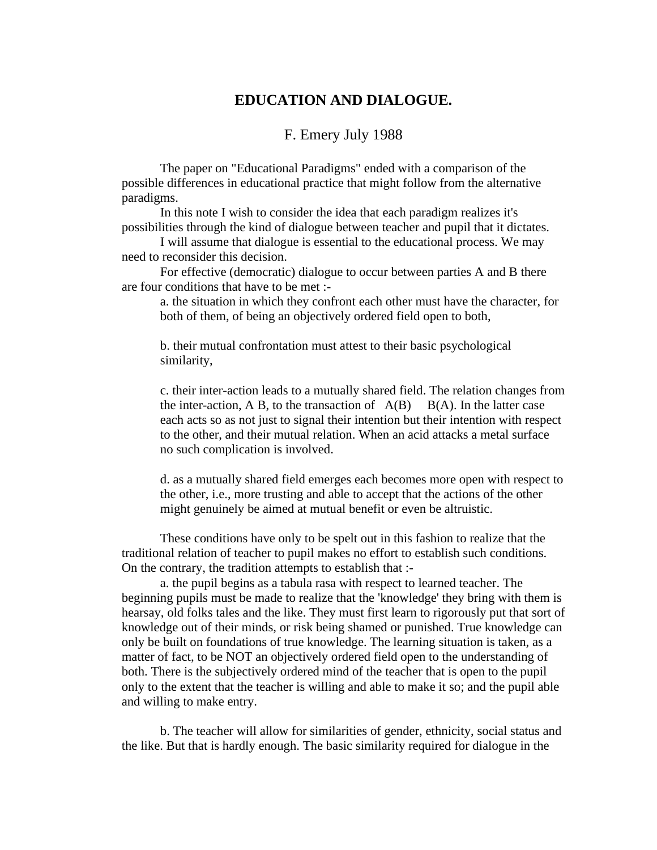## **EDUCATION AND DIALOGUE.**

## F. Emery July 1988

The paper on "Educational Paradigms" ended with a comparison of the possible differences in educational practice that might follow from the alternative paradigms.

In this note I wish to consider the idea that each paradigm realizes it's possibilities through the kind of dialogue between teacher and pupil that it dictates.

I will assume that dialogue is essential to the educational process. We may need to reconsider this decision.

For effective (democratic) dialogue to occur between parties A and B there are four conditions that have to be met :-

a. the situation in which they confront each other must have the character, for both of them, of being an objectively ordered field open to both,

b. their mutual confrontation must attest to their basic psychological similarity,

c. their inter-action leads to a mutually shared field. The relation changes from the inter-action, A B, to the transaction of  $A(B)$   $B(A)$ . In the latter case each acts so as not just to signal their intention but their intention with respect to the other, and their mutual relation. When an acid attacks a metal surface no such complication is involved.

d. as a mutually shared field emerges each becomes more open with respect to the other, i.e., more trusting and able to accept that the actions of the other might genuinely be aimed at mutual benefit or even be altruistic.

These conditions have only to be spelt out in this fashion to realize that the traditional relation of teacher to pupil makes no effort to establish such conditions. On the contrary, the tradition attempts to establish that :-

a. the pupil begins as a tabula rasa with respect to learned teacher. The beginning pupils must be made to realize that the 'knowledge' they bring with them is hearsay, old folks tales and the like. They must first learn to rigorously put that sort of knowledge out of their minds, or risk being shamed or punished. True knowledge can only be built on foundations of true knowledge. The learning situation is taken, as a matter of fact, to be NOT an objectively ordered field open to the understanding of both. There is the subjectively ordered mind of the teacher that is open to the pupil only to the extent that the teacher is willing and able to make it so; and the pupil able and willing to make entry.

b. The teacher will allow for similarities of gender, ethnicity, social status and the like. But that is hardly enough. The basic similarity required for dialogue in the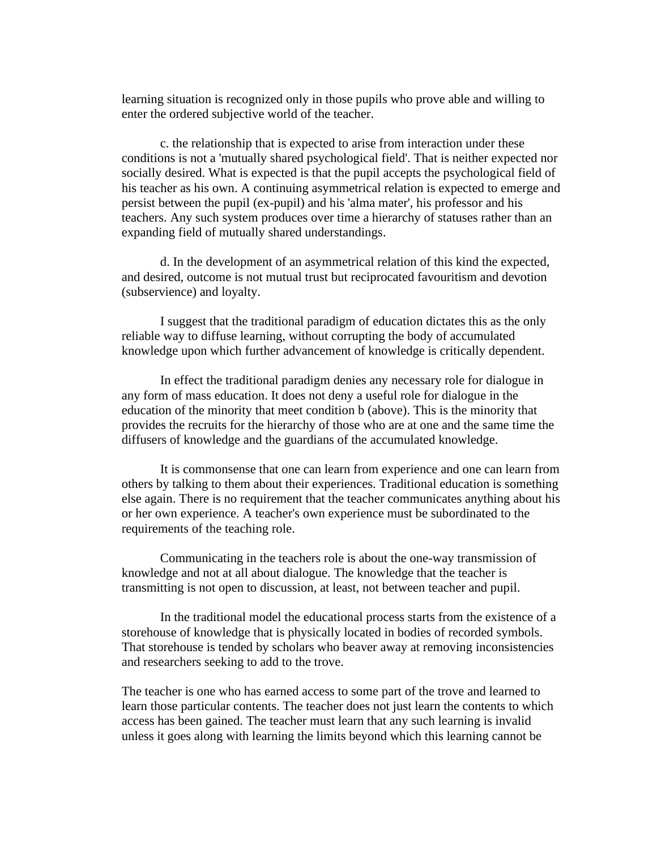learning situation is recognized only in those pupils who prove able and willing to enter the ordered subjective world of the teacher.

c. the relationship that is expected to arise from interaction under these conditions is not a 'mutually shared psychological field'. That is neither expected nor socially desired. What is expected is that the pupil accepts the psychological field of his teacher as his own. A continuing asymmetrical relation is expected to emerge and persist between the pupil (ex-pupil) and his 'alma mater', his professor and his teachers. Any such system produces over time a hierarchy of statuses rather than an expanding field of mutually shared understandings.

d. In the development of an asymmetrical relation of this kind the expected, and desired, outcome is not mutual trust but reciprocated favouritism and devotion (subservience) and loyalty.

I suggest that the traditional paradigm of education dictates this as the only reliable way to diffuse learning, without corrupting the body of accumulated knowledge upon which further advancement of knowledge is critically dependent.

In effect the traditional paradigm denies any necessary role for dialogue in any form of mass education. It does not deny a useful role for dialogue in the education of the minority that meet condition b (above). This is the minority that provides the recruits for the hierarchy of those who are at one and the same time the diffusers of knowledge and the guardians of the accumulated knowledge.

It is commonsense that one can learn from experience and one can learn from others by talking to them about their experiences. Traditional education is something else again. There is no requirement that the teacher communicates anything about his or her own experience. A teacher's own experience must be subordinated to the requirements of the teaching role.

Communicating in the teachers role is about the one-way transmission of knowledge and not at all about dialogue. The knowledge that the teacher is transmitting is not open to discussion, at least, not between teacher and pupil.

In the traditional model the educational process starts from the existence of a storehouse of knowledge that is physically located in bodies of recorded symbols. That storehouse is tended by scholars who beaver away at removing inconsistencies and researchers seeking to add to the trove.

The teacher is one who has earned access to some part of the trove and learned to learn those particular contents. The teacher does not just learn the contents to which access has been gained. The teacher must learn that any such learning is invalid unless it goes along with learning the limits beyond which this learning cannot be